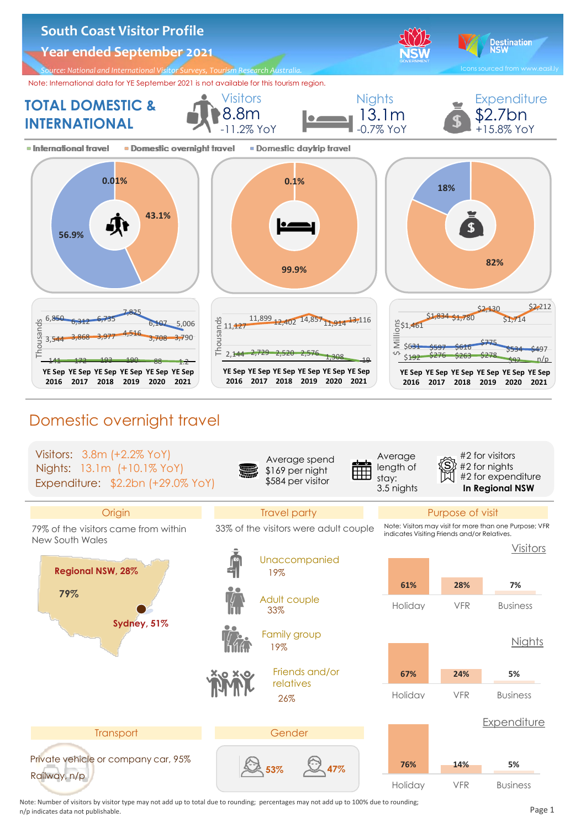













26% relatives **67% 24% 5%** Nights





 Note: Number of visitors by visitor type may not add up to total due to rounding; percentages may not add up to 100% due to rounding; n/p indicates data not publishable. Page 1........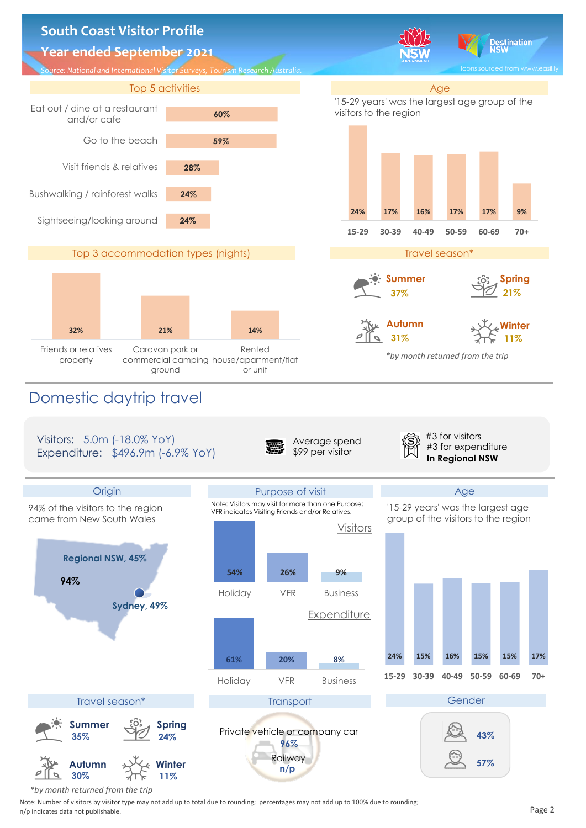



 *\*by month returned from the trip*

 Note: Number of visitors by visitor type may not add up to total due to rounding; percentages may not add up to 100% due to rounding; n/p indicates data not publishable. Page 2........